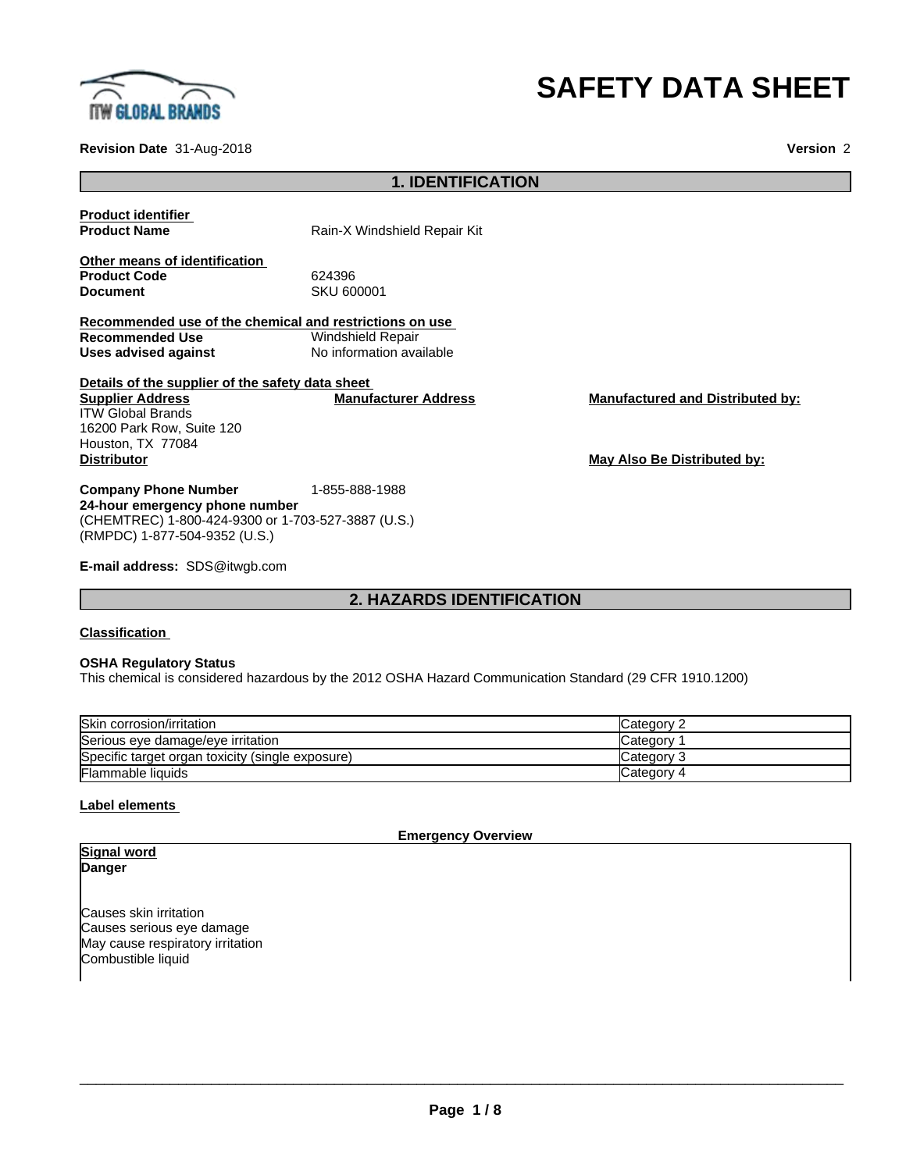

# **SAFETY DATA SHEET**

**Revision Date** 31-Aug-2018 **Version** 2

# **1. IDENTIFICATION**

**Product identifier**

**Product Name** Rain-X Windshield Repair Kit

**Other means of identification** Product Code 624396<br> **Document** 624396

**Document** SKU 600001

**Recommended use of the chemical and restrictions on use Recommended Use**<br>Uses advised against **Uses advised against** No information available

**Details of the supplier of the safety data sheet Supplier Address** ITW Global Brands 16200 Park Row, Suite 120 Houston, TX 77084 **Distributor May Also Be Distributed by:**

**Company Phone Number** 1-855-888-1988 **24-hour emergency phone number** (CHEMTREC) 1-800-424-9300 or 1-703-527-3887 (U.S.) (RMPDC) 1-877-504-9352 (U.S.)

**E-mail address:** SDS@itwgb.com

# **2. HAZARDS IDENTIFICATION**

# **Classification**

# **OSHA Regulatory Status**

This chemical is considered hazardous by the 2012 OSHA Hazard Communication Standard (29 CFR 1910.1200)

| Skin corrosion/irritation                        | lCategorv 2 |
|--------------------------------------------------|-------------|
| Serious eye damage/eye irritation                | Category 1  |
| Specific target organ toxicity (single exposure) | lCategorv 3 |
| <b>Flammable liquids</b>                         | Category 4  |

# **Label elements**

**Emergency Overview**

# **Signal word Danger**

Causes skin irritation Causes serious eye damage May cause respiratory irritation Combustible liquid

**Manufacturer Address Manufactured and Distributed by:**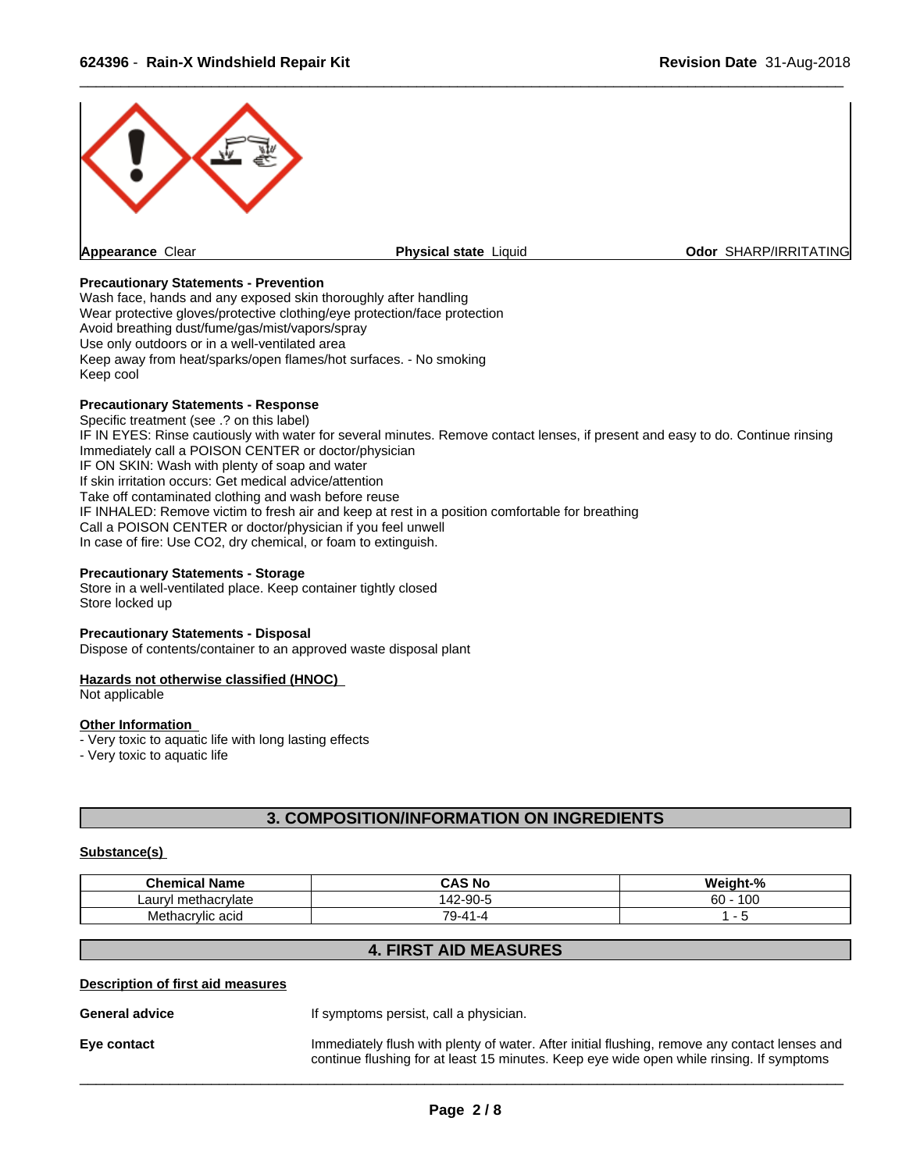

# **Precautionary Statements - Prevention**

Wash face, hands and any exposed skin thoroughly after handling Wear protective gloves/protective clothing/eye protection/face protection Avoid breathing dust/fume/gas/mist/vapors/spray Use only outdoors or in a well-ventilated area Keep away from heat/sparks/open flames/hot surfaces. - No smoking Keep cool

# **Precautionary Statements - Response**

Specific treatment (see .? on this label) IF IN EYES: Rinse cautiously with water for several minutes. Remove contact lenses, if present and easy to do. Continue rinsing Immediately call a POISON CENTER or doctor/physician IF ON SKIN: Wash with plenty of soap and water If skin irritation occurs: Get medical advice/attention Take off contaminated clothing and wash before reuse IF INHALED: Remove victim to fresh air and keep at rest in a position comfortable for breathing Call a POISON CENTER or doctor/physician if you feel unwell In case of fire: Use CO2, dry chemical, or foam to extinguish.

### **Precautionary Statements - Storage**

Store in a well-ventilated place. Keep container tightly closed Store locked up

### **Precautionary Statements - Disposal**

Dispose of contents/container to an approved waste disposal plant

# **Hazards not otherwise classified (HNOC)**

Not applicable

### **Other Information**

- Very toxic to aquatic life with long lasting effects

- Very toxic to aquatic life

# **3. COMPOSITION/INFORMATION ON INGREDIENTS**

# **Substance(s)**

| .<br>Chemical<br>Name                       | -----<br>S Nc<br>CAS      | $\sim$ $\sim$<br>$\mathbf{a}$<br>.<br>. |
|---------------------------------------------|---------------------------|-----------------------------------------|
| nethacrylate<br>11 <sup>m</sup><br>~<br>_au | 2-90<br>$\epsilon$<br>Τ4. | $\sqrt{2}$<br>60<br>טע                  |
| Methacrylic acid                            | 79.<br>. .                |                                         |

# **4. FIRST AID MEASURES**

# **Description of first aid measures**

**General advice If** symptoms persist, call a physician.

**Eye contact** Immediately flush with plenty of water. After initial flushing, remove any contact lenses and continue flushing for at least 15 minutes. Keep eye wide open while rinsing. If symptoms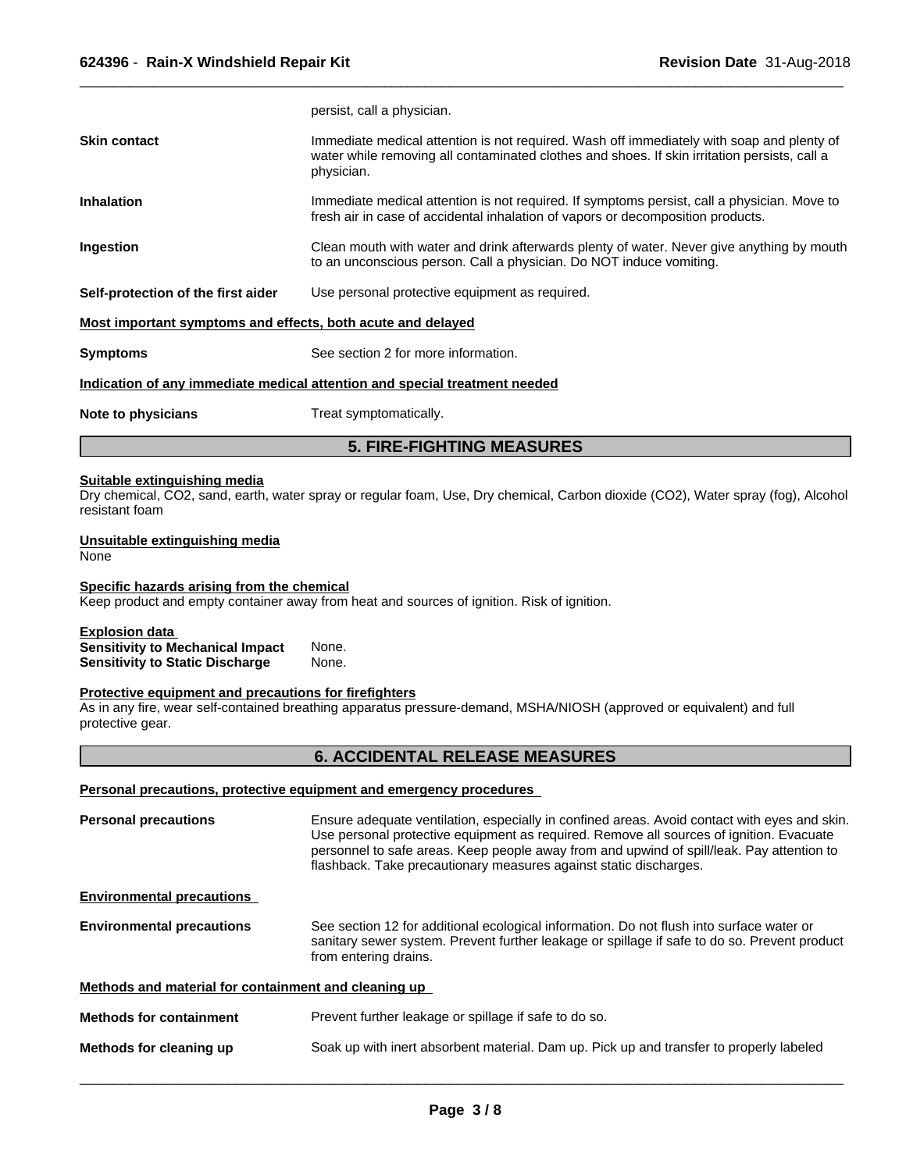|                                                             | persist, call a physician.                                                                                                                                                                              |  |
|-------------------------------------------------------------|---------------------------------------------------------------------------------------------------------------------------------------------------------------------------------------------------------|--|
| <b>Skin contact</b>                                         | Immediate medical attention is not required. Wash off immediately with soap and plenty of<br>water while removing all contaminated clothes and shoes. If skin irritation persists, call a<br>physician. |  |
| <b>Inhalation</b>                                           | Immediate medical attention is not required. If symptoms persist, call a physician. Move to<br>fresh air in case of accidental inhalation of vapors or decomposition products.                          |  |
| Ingestion                                                   | Clean mouth with water and drink afterwards plenty of water. Never give anything by mouth<br>to an unconscious person. Call a physician. Do NOT induce vomiting.                                        |  |
| Self-protection of the first aider                          | Use personal protective equipment as required.                                                                                                                                                          |  |
| Most important symptoms and effects, both acute and delayed |                                                                                                                                                                                                         |  |
| <b>Symptoms</b>                                             | See section 2 for more information.                                                                                                                                                                     |  |
|                                                             | Indication of any immediate medical attention and special treatment needed                                                                                                                              |  |
| Note to physicians                                          | Treat symptomatically.                                                                                                                                                                                  |  |

# **5. FIRE-FIGHTING MEASURES**

# **Suitable extinguishing media**

Dry chemical, CO2, sand, earth, water spray or regular foam, Use, Dry chemical, Carbon dioxide (CO2), Water spray (fog), Alcohol resistant foam

# **Unsuitable extinguishing media**

None

# **Specific hazards arising from the chemical**

Keep product and empty container away from heat and sources of ignition. Risk of ignition.

# **Explosion data**

**Sensitivity to Mechanical Impact** None. **Sensitivity to Static Discharge** 

# **Protective equipment and precautions for firefighters**

As in any fire, wear self-contained breathing apparatus pressure-demand, MSHA/NIOSH (approved or equivalent) and full protective gear.

# **6. ACCIDENTAL RELEASE MEASURES**

# **Personal precautions, protective equipment and emergency procedures**

| <b>Personal precautions</b>                          | Ensure adequate ventilation, especially in confined areas. Avoid contact with eyes and skin.<br>Use personal protective equipment as required. Remove all sources of ignition. Evacuate<br>personnel to safe areas. Keep people away from and upwind of spill/leak. Pay attention to<br>flashback. Take precautionary measures against static discharges. |  |
|------------------------------------------------------|-----------------------------------------------------------------------------------------------------------------------------------------------------------------------------------------------------------------------------------------------------------------------------------------------------------------------------------------------------------|--|
| <b>Environmental precautions</b>                     |                                                                                                                                                                                                                                                                                                                                                           |  |
| <b>Environmental precautions</b>                     | See section 12 for additional ecological information. Do not flush into surface water or<br>sanitary sewer system. Prevent further leakage or spillage if safe to do so. Prevent product<br>from entering drains.                                                                                                                                         |  |
| Methods and material for containment and cleaning up |                                                                                                                                                                                                                                                                                                                                                           |  |
| <b>Methods for containment</b>                       | Prevent further leakage or spillage if safe to do so.                                                                                                                                                                                                                                                                                                     |  |
| Methods for cleaning up                              | Soak up with inert absorbent material. Dam up. Pick up and transfer to properly labeled                                                                                                                                                                                                                                                                   |  |
|                                                      |                                                                                                                                                                                                                                                                                                                                                           |  |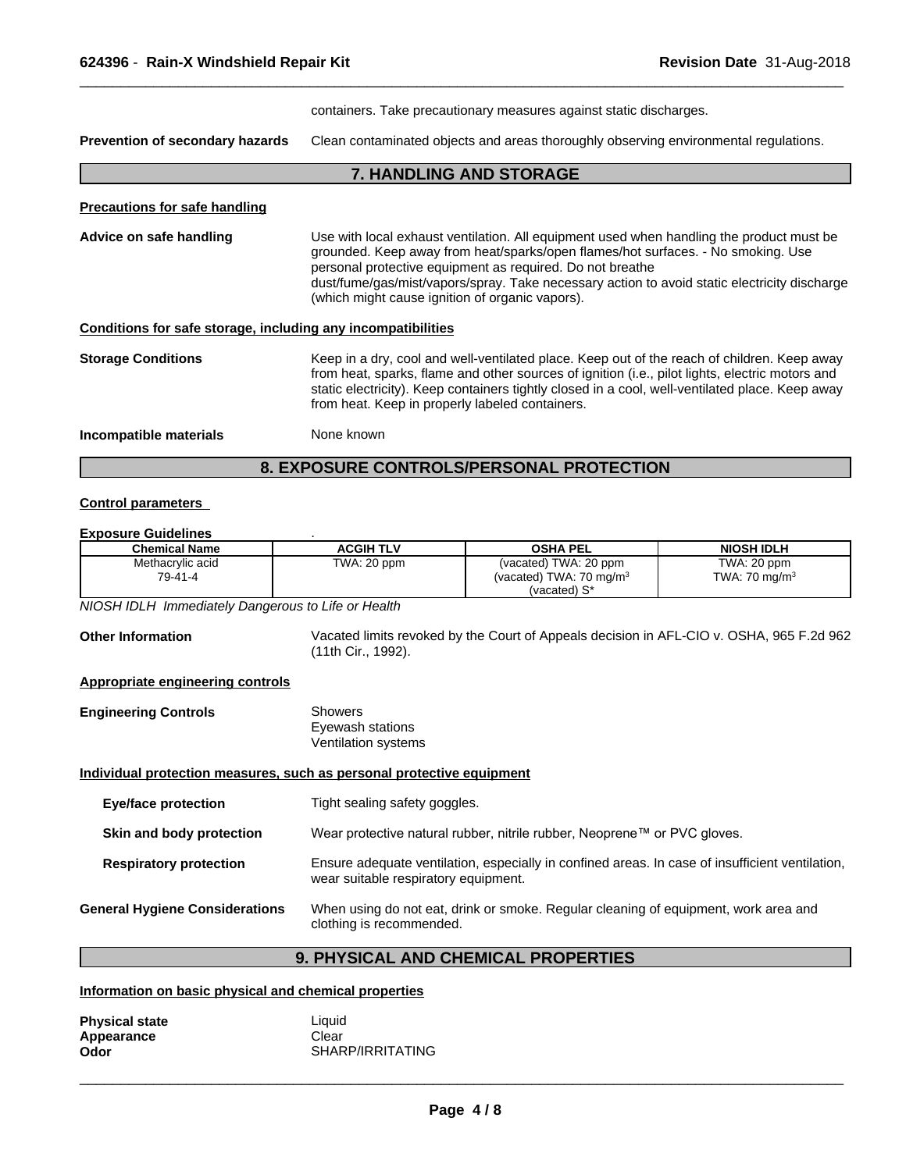containers. Take precautionary measures against static discharges.

 $\overline{\phantom{a}}$  ,  $\overline{\phantom{a}}$  ,  $\overline{\phantom{a}}$  ,  $\overline{\phantom{a}}$  ,  $\overline{\phantom{a}}$  ,  $\overline{\phantom{a}}$  ,  $\overline{\phantom{a}}$  ,  $\overline{\phantom{a}}$  ,  $\overline{\phantom{a}}$  ,  $\overline{\phantom{a}}$  ,  $\overline{\phantom{a}}$  ,  $\overline{\phantom{a}}$  ,  $\overline{\phantom{a}}$  ,  $\overline{\phantom{a}}$  ,  $\overline{\phantom{a}}$  ,  $\overline{\phantom{a}}$ 

**Prevention of secondary hazards** Clean contaminated objects and areas thoroughly observing environmental regulations.

**7. HANDLING AND STORAGE**

# **Precautions for safe handling**

| Advice on safe handling   | Use with local exhaust ventilation. All equipment used when handling the product must be<br>grounded. Keep away from heat/sparks/open flames/hot surfaces. - No smoking. Use<br>personal protective equipment as required. Do not breathe<br>dust/fume/gas/mist/vapors/spray. Take necessary action to avoid static electricity discharge<br>(which might cause ignition of organic vapors). |
|---------------------------|----------------------------------------------------------------------------------------------------------------------------------------------------------------------------------------------------------------------------------------------------------------------------------------------------------------------------------------------------------------------------------------------|
|                           | Conditions for safe storage, including any incompatibilities                                                                                                                                                                                                                                                                                                                                 |
| <b>Storage Conditions</b> | Keep in a dry, cool and well-ventilated place. Keep out of the reach of children. Keep away<br>from heat, enarks, flame and other sources of ignition (i.e., pilot lights, electric motors and                                                                                                                                                                                               |

e and other sources of ignition (i.e., pilot lights, electric m static electricity). Keep containers tightly closed in a cool, well-ventilated place. Keep away from heat. Keep in properly labeled containers.

**Incompatible materials** None known

# **8. EXPOSURE CONTROLS/PERSONAL PROTECTION**

# **Control parameters**

# **Exposure Guidelines** .

| <b>Chemical Name</b> | <b>ACGIH TLV</b> | <b>OSHA PEL</b>                    | <b>NIOSH IDLH</b>        |
|----------------------|------------------|------------------------------------|--------------------------|
| Methacrylic acid     | TWA: 20 ppm      | (vacated) TWA: 20 ppm              | TWA: 20 ppm              |
| 79-41-4              |                  | (vacated) TWA: $70 \text{ mg/m}^3$ | TWA: $70 \text{ mg/m}^3$ |
|                      |                  | (vacated) S*                       |                          |

*NIOSH IDLH Immediately Dangerous to Life or Health*

**Other Information** Vacated limits revoked by the Court of Appeals decision in AFL-CIO v.OSHA, 965 F.2d 962 (11th Cir., 1992). **Appropriate engineering controls Engineering Controls** Showers Eyewash stations Ventilation systems **Individual protection measures, such as personal protective equipment Eye/face protection** Tight sealing safety goggles. **Skin and body protection** Wear protective natural rubber, nitrile rubber, Neoprene™ or PVC gloves. **Respiratory protection** Ensure adequate ventilation, especially in confined areas. In case of insufficient ventilation, wear suitable respiratory equipment. **General Hygiene Considerations** When using do not eat, drink or smoke. Regular cleaning of equipment, work area and clothing is recommended.

# **9. PHYSICAL AND CHEMICAL PROPERTIES**

# **Information on basic physical and chemical properties**

| <b>Physical state</b> | Liauid           |
|-----------------------|------------------|
| Appearance            | Clear            |
| Odor                  | SHARP/IRRITATING |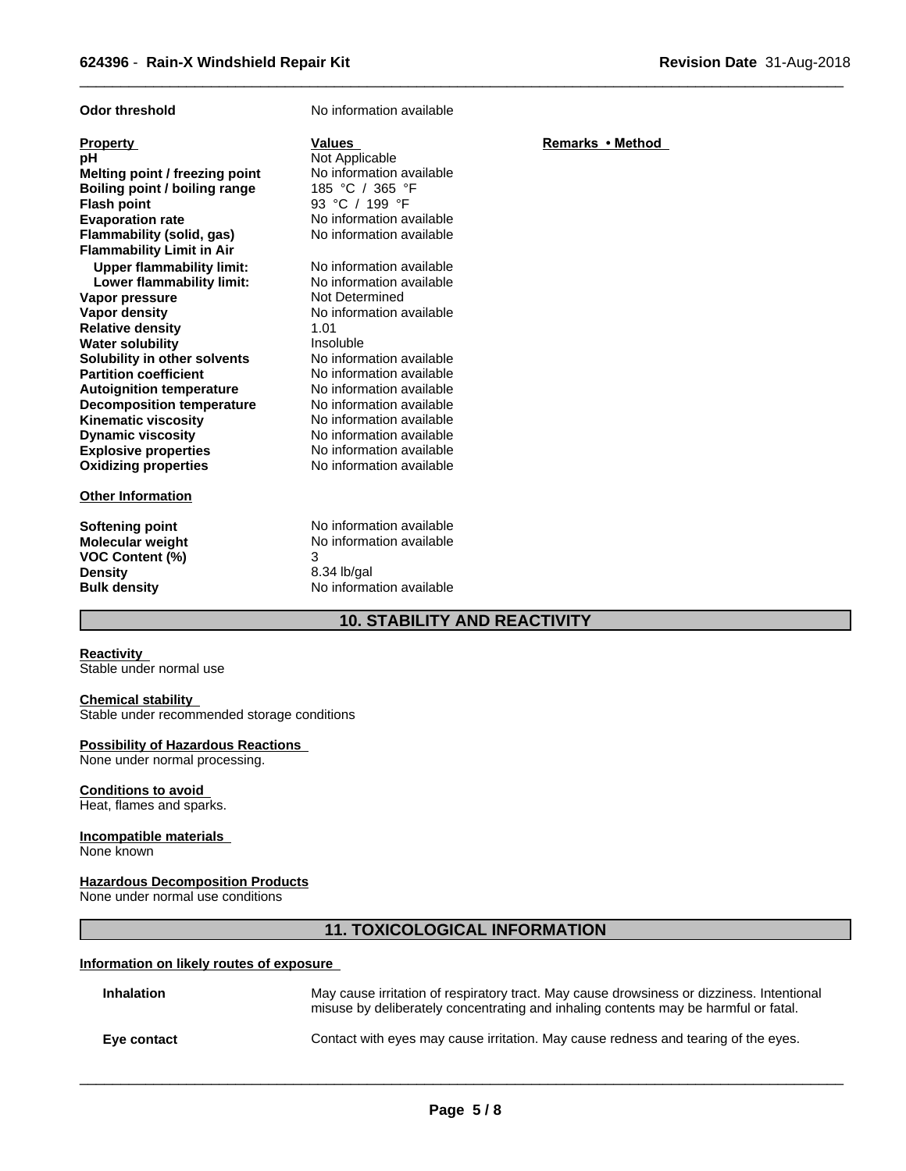| <b>Odor threshold</b>                                                                                                                                                                                                                                                                                                                                                                                                                                                                                                                                                                                       | No information available                                                                                                                                                                                                                                                                                                                                                                                                                                                                                            |                  |
|-------------------------------------------------------------------------------------------------------------------------------------------------------------------------------------------------------------------------------------------------------------------------------------------------------------------------------------------------------------------------------------------------------------------------------------------------------------------------------------------------------------------------------------------------------------------------------------------------------------|---------------------------------------------------------------------------------------------------------------------------------------------------------------------------------------------------------------------------------------------------------------------------------------------------------------------------------------------------------------------------------------------------------------------------------------------------------------------------------------------------------------------|------------------|
| <b>Property</b><br>рH<br>Melting point / freezing point<br>Boiling point / boiling range<br><b>Flash point</b><br><b>Evaporation rate</b><br>Flammability (solid, gas)<br><b>Flammability Limit in Air</b><br><b>Upper flammability limit:</b><br>Lower flammability limit:<br>Vapor pressure<br><b>Vapor density</b><br><b>Relative density</b><br><b>Water solubility</b><br>Solubility in other solvents<br><b>Partition coefficient</b><br><b>Autoignition temperature</b><br><b>Decomposition temperature</b><br><b>Kinematic viscosity</b><br><b>Dynamic viscosity</b><br><b>Explosive properties</b> | <b>Values</b><br>Not Applicable<br>No information available<br>185 °C / 365 °F<br>93 °C / 199 °F<br>No information available<br>No information available<br>No information available<br>No information available<br>Not Determined<br>No information available<br>1.01<br>Insoluble<br>No information available<br>No information available<br>No information available<br>No information available<br>No information available<br>No information available<br>No information available<br>No information available | Remarks • Method |
| <b>Oxidizing properties</b>                                                                                                                                                                                                                                                                                                                                                                                                                                                                                                                                                                                 |                                                                                                                                                                                                                                                                                                                                                                                                                                                                                                                     |                  |
| <b>Other Information</b>                                                                                                                                                                                                                                                                                                                                                                                                                                                                                                                                                                                    |                                                                                                                                                                                                                                                                                                                                                                                                                                                                                                                     |                  |
| Softening point<br><b>Molecular weight</b><br><b>VOC Content (%)</b><br><b>Density</b><br><b>Bulk density</b>                                                                                                                                                                                                                                                                                                                                                                                                                                                                                               | No information available<br>No information available<br>3<br>8.34 lb/gal<br>No information available                                                                                                                                                                                                                                                                                                                                                                                                                |                  |

# **10. STABILITY AND REACTIVITY**

# **Reactivity**

Stable under normal use

# **Chemical stability**

Stable under recommended storage conditions

# **Possibility of Hazardous Reactions**

None under normal processing.

# **Conditions to avoid**

Heat, flames and sparks.

# **Incompatible materials**

None known

# **Hazardous Decomposition Products**

None under normal use conditions

# **11. TOXICOLOGICAL INFORMATION**

# **Information on likely routes of exposure**

| <b>Inhalation</b> | May cause irritation of respiratory tract. May cause drowsiness or dizziness. Intentional<br>misuse by deliberately concentrating and inhaling contents may be harmful or fatal. |
|-------------------|----------------------------------------------------------------------------------------------------------------------------------------------------------------------------------|
| Eve contact       | Contact with eyes may cause irritation. May cause redness and tearing of the eyes.                                                                                               |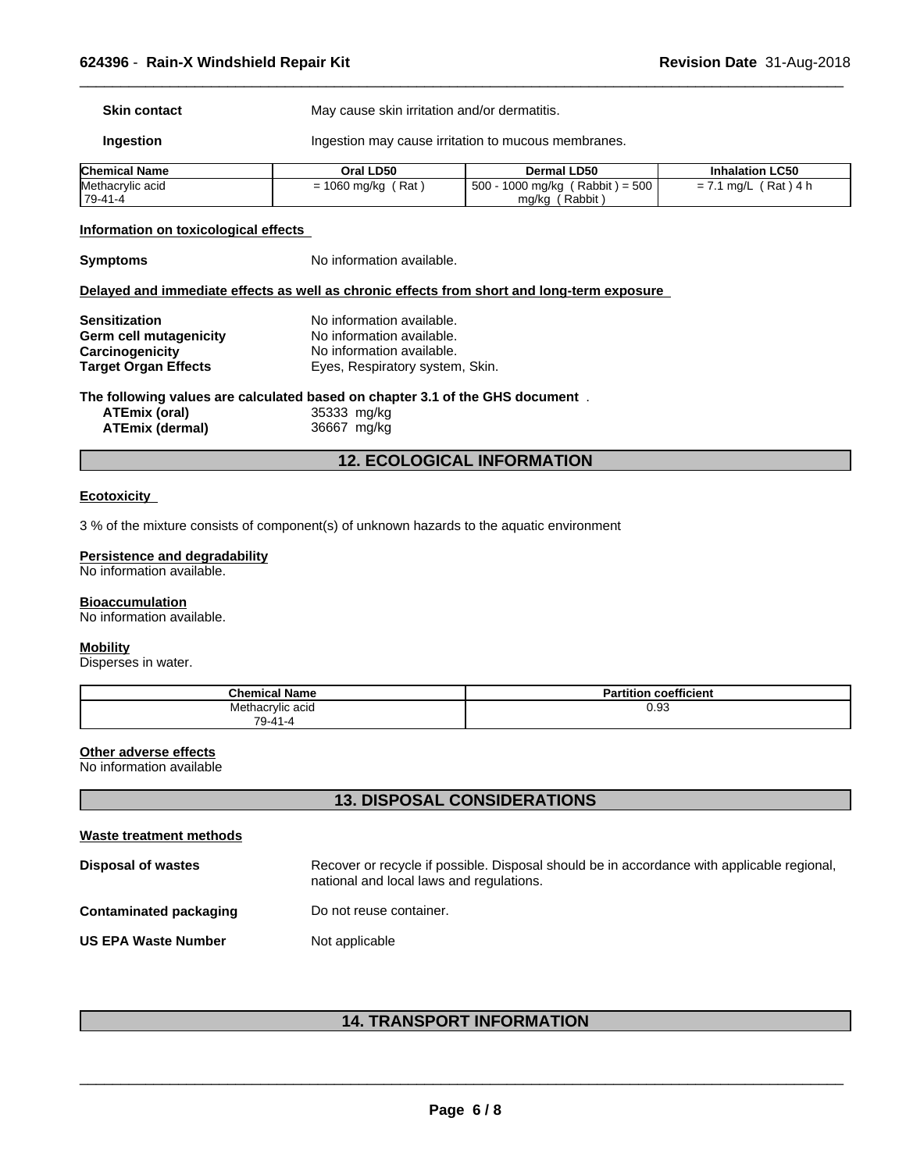**Skin contact** May cause skin irritation and/or dermatitis.

**Ingestion Ingestion may cause irritation to mucous membranes.** 

| <b>Chemical Name</b> | Oral LD50              | Dermal LD50                             | <b>Inhalation LC50</b>  |
|----------------------|------------------------|-----------------------------------------|-------------------------|
| Methacrylic acid     | Rat<br>1060<br>, ma/ka | $= 500$<br>Rabbit)<br>500<br>1000 mg/kg | Rat<br>ma/L<br>4 r<br>= |
| $79-41-4$            |                        | Rabbit,<br>mg/kg                        |                         |

 $\overline{\phantom{a}}$  ,  $\overline{\phantom{a}}$  ,  $\overline{\phantom{a}}$  ,  $\overline{\phantom{a}}$  ,  $\overline{\phantom{a}}$  ,  $\overline{\phantom{a}}$  ,  $\overline{\phantom{a}}$  ,  $\overline{\phantom{a}}$  ,  $\overline{\phantom{a}}$  ,  $\overline{\phantom{a}}$  ,  $\overline{\phantom{a}}$  ,  $\overline{\phantom{a}}$  ,  $\overline{\phantom{a}}$  ,  $\overline{\phantom{a}}$  ,  $\overline{\phantom{a}}$  ,  $\overline{\phantom{a}}$ 

# **Information on toxicological effects**

**Symptoms** No information available.

# **Delayed and immediate effects as well as chronic effects from short and long-term exposure**

| <b>Sensitization</b>        | No information available.       |
|-----------------------------|---------------------------------|
| Germ cell mutagenicity      | No information available.       |
| Carcinogenicity             | No information available.       |
| <b>Target Organ Effects</b> | Eyes, Respiratory system, Skin. |

# **The following values are calculated based on chapter 3.1 of the GHS document** .

| ATEmix (oral)          | 35333 mg/kg |
|------------------------|-------------|
| <b>ATEmix (dermal)</b> | 36667 mg/kg |

# **12. ECOLOGICAL INFORMATION**

# **Ecotoxicity**

3 % of the mixture consists of component(s) of unknown hazards to the aquatic environment

# **Persistence and degradability**

No information available.

# **Bioaccumulation**

No information available.

### **Mobility**

Disperses in water.

| <b>Chemical Name</b>      | coefficient<br>Partition |
|---------------------------|--------------------------|
| Methacrylic acid          | 0.93                     |
| $\overline{z}$<br>'9-41-4 |                          |

# **Other adverse effects**

No information available

# **13. DISPOSAL CONSIDERATIONS**

| Waste treatment methods    |                                                                                                                                        |
|----------------------------|----------------------------------------------------------------------------------------------------------------------------------------|
| <b>Disposal of wastes</b>  | Recover or recycle if possible. Disposal should be in accordance with applicable regional.<br>national and local laws and regulations. |
| Contaminated packaging     | Do not reuse container.                                                                                                                |
| <b>US EPA Waste Number</b> | Not applicable                                                                                                                         |

# **14. TRANSPORT INFORMATION**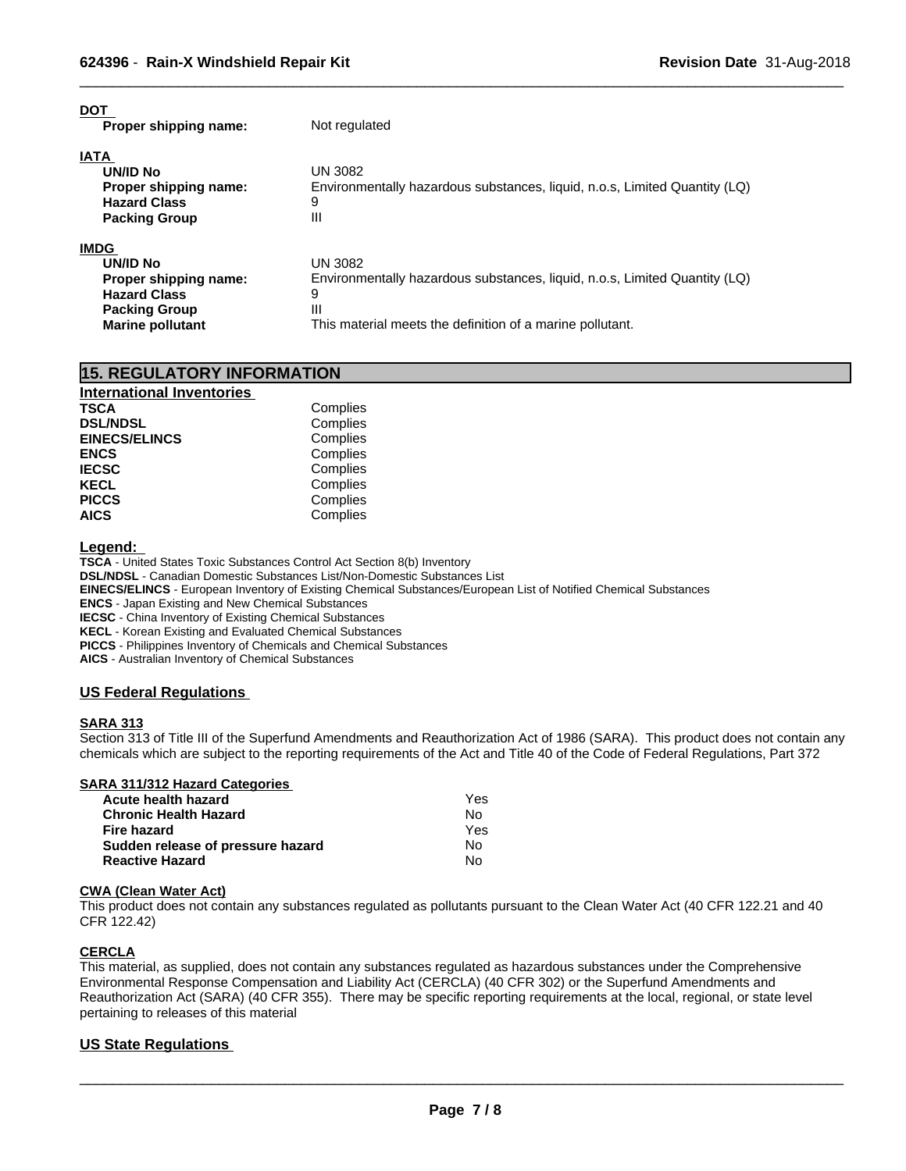| <b>DOT</b><br>Proper shipping name:                                                                                               | Not regulated                                                                                                                                                |
|-----------------------------------------------------------------------------------------------------------------------------------|--------------------------------------------------------------------------------------------------------------------------------------------------------------|
| <b>IATA</b><br><b>UN/ID No</b><br>Proper shipping name:<br><b>Hazard Class</b><br><b>Packing Group</b>                            | <b>UN 3082</b><br>Environmentally hazardous substances, liquid, n.o.s, Limited Quantity (LQ)<br>9<br>Ш                                                       |
| <b>IMDG</b><br><b>UN/ID No</b><br>Proper shipping name:<br><b>Hazard Class</b><br><b>Packing Group</b><br><b>Marine pollutant</b> | UN 3082<br>Environmentally hazardous substances, liquid, n.o.s, Limited Quantity (LQ)<br>9<br>Ш<br>This material meets the definition of a marine pollutant. |

| <b>15. REGULATORY INFORMATION</b> |          |  |
|-----------------------------------|----------|--|
| <b>International Inventories</b>  |          |  |
| <b>TSCA</b>                       | Complies |  |
| <b>DSL/NDSL</b>                   | Complies |  |
| <b>EINECS/ELINCS</b>              | Complies |  |
| <b>ENCS</b>                       | Complies |  |
| <b>IECSC</b>                      | Complies |  |
| <b>KECL</b>                       | Complies |  |
| <b>PICCS</b>                      | Complies |  |
| <b>AICS</b>                       | Complies |  |

**Legend:** 

**TSCA** - United States Toxic Substances Control Act Section 8(b) Inventory **DSL/NDSL** - Canadian Domestic Substances List/Non-Domestic Substances List **EINECS/ELINCS** - European Inventory of Existing Chemical Substances/European List of Notified Chemical Substances **ENCS** - Japan Existing and New Chemical Substances **IECSC** - China Inventory of Existing Chemical Substances **KECL** - Korean Existing and Evaluated Chemical Substances **PICCS** - Philippines Inventory of Chemicals and Chemical Substances

**AICS** - Australian Inventory of Chemical Substances

# **US Federal Regulations**

# **SARA 313**

Section 313 of Title III of the Superfund Amendments and Reauthorization Act of 1986 (SARA). This product does not contain any chemicals which are subject to the reporting requirements of the Act and Title 40 of the Code of Federal Regulations, Part 372

# **SARA 311/312 Hazard Categories**

| Acute health hazard               | Yes |
|-----------------------------------|-----|
| <b>Chronic Health Hazard</b>      | No. |
| Fire hazard                       | Yes |
| Sudden release of pressure hazard | No. |
| <b>Reactive Hazard</b>            | Nο  |

# **CWA (Clean WaterAct)**

This product does not contain any substances regulated as pollutants pursuant to the Clean Water Act (40 CFR 122.21 and 40 CFR 122.42)

# **CERCLA**

This material, as supplied, does not contain any substances regulated as hazardous substances under the Comprehensive Environmental Response Compensation and Liability Act (CERCLA) (40 CFR 302) or the Superfund Amendments and Reauthorization Act (SARA) (40 CFR 355). There may be specific reporting requirements at the local, regional, or state level pertaining to releases of this material

# **US State Regulations**